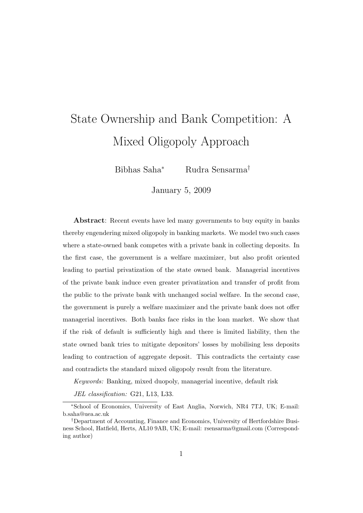# State Ownership and Bank Competition: A Mixed Oligopoly Approach

Bibhas Saha<sup>∗</sup> Rudra Sensarma†

January 5, 2009

Abstract: Recent events have led many governments to buy equity in banks thereby engendering mixed oligopoly in banking markets. We model two such cases where a state-owned bank competes with a private bank in collecting deposits. In the first case, the government is a welfare maximizer, but also profit oriented leading to partial privatization of the state owned bank. Managerial incentives of the private bank induce even greater privatization and transfer of profit from the public to the private bank with unchanged social welfare. In the second case, the government is purely a welfare maximizer and the private bank does not offer managerial incentives. Both banks face risks in the loan market. We show that if the risk of default is sufficiently high and there is limited liability, then the state owned bank tries to mitigate depositors' losses by mobilising less deposits leading to contraction of aggregate deposit. This contradicts the certainty case and contradicts the standard mixed oligopoly result from the literature.

Keywords: Banking, mixed duopoly, managerial incentive, default risk

JEL classification: G21, L13, L33.

<sup>∗</sup>School of Economics, University of East Anglia, Norwich, NR4 7TJ, UK; E-mail: b.saha@uea.ac.uk

<sup>†</sup>Department of Accounting, Finance and Economics, University of Hertfordshire Business School, Hatfield, Herts, AL10 9AB, UK; E-mail: rsensarma@gmail.com (Corresponding author)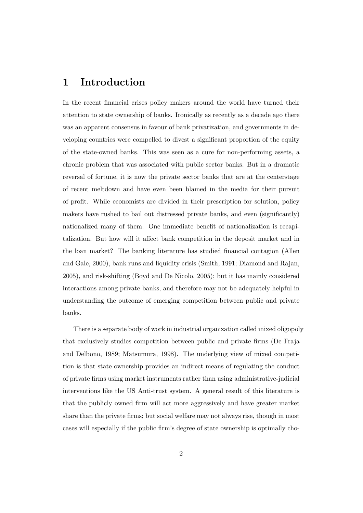## 1 Introduction

In the recent financial crises policy makers around the world have turned their attention to state ownership of banks. Ironically as recently as a decade ago there was an apparent consensus in favour of bank privatization, and governments in developing countries were compelled to divest a significant proportion of the equity of the state-owned banks. This was seen as a cure for non-performing assets, a chronic problem that was associated with public sector banks. But in a dramatic reversal of fortune, it is now the private sector banks that are at the centerstage of recent meltdown and have even been blamed in the media for their pursuit of profit. While economists are divided in their prescription for solution, policy makers have rushed to bail out distressed private banks, and even (significantly) nationalized many of them. One immediate benefit of nationalization is recapitalization. But how will it affect bank competition in the deposit market and in the loan market? The banking literature has studied financial contagion (Allen and Gale, 2000), bank runs and liquidity crisis (Smith, 1991; Diamond and Rajan, 2005), and risk-shifting (Boyd and De Nicolo, 2005); but it has mainly considered interactions among private banks, and therefore may not be adequately helpful in understanding the outcome of emerging competition between public and private banks.

There is a separate body of work in industrial organization called mixed oligopoly that exclusively studies competition between public and private firms (De Fraja and Delbono, 1989; Matsumura, 1998). The underlying view of mixed competition is that state ownership provides an indirect means of regulating the conduct of private firms using market instruments rather than using administrative-judicial interventions like the US Anti-trust system. A general result of this literature is that the publicly owned firm will act more aggressively and have greater market share than the private firms; but social welfare may not always rise, though in most cases will especially if the public firm's degree of state ownership is optimally cho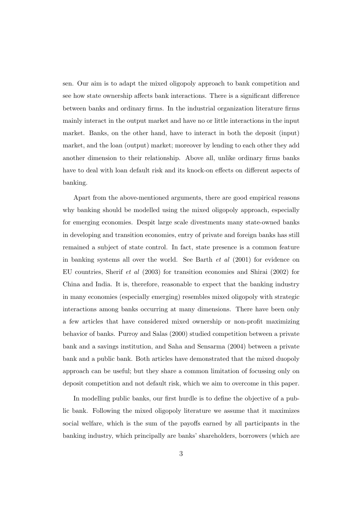sen. Our aim is to adapt the mixed oligopoly approach to bank competition and see how state ownership affects bank interactions. There is a significant difference between banks and ordinary firms. In the industrial organization literature firms mainly interact in the output market and have no or little interactions in the input market. Banks, on the other hand, have to interact in both the deposit (input) market, and the loan (output) market; moreover by lending to each other they add another dimension to their relationship. Above all, unlike ordinary firms banks have to deal with loan default risk and its knock-on effects on different aspects of banking.

Apart from the above-mentioned arguments, there are good empirical reasons why banking should be modelled using the mixed oligopoly approach, especially for emerging economies. Despit large scale divestments many state-owned banks in developing and transition economies, entry of private and foreign banks has still remained a subject of state control. In fact, state presence is a common feature in banking systems all over the world. See Barth et al (2001) for evidence on EU countries, Sherif et al (2003) for transition economies and Shirai (2002) for China and India. It is, therefore, reasonable to expect that the banking industry in many economies (especially emerging) resembles mixed oligopoly with strategic interactions among banks occurring at many dimensions. There have been only a few articles that have considered mixed ownership or non-profit maximizing behavior of banks. Purroy and Salas (2000) studied competition between a private bank and a savings institution, and Saha and Sensarma (2004) between a private bank and a public bank. Both articles have demonstrated that the mixed duopoly approach can be useful; but they share a common limitation of focussing only on deposit competition and not default risk, which we aim to overcome in this paper.

In modelling public banks, our first hurdle is to define the objective of a public bank. Following the mixed oligopoly literature we assume that it maximizes social welfare, which is the sum of the payoffs earned by all participants in the banking industry, which principally are banks' shareholders, borrowers (which are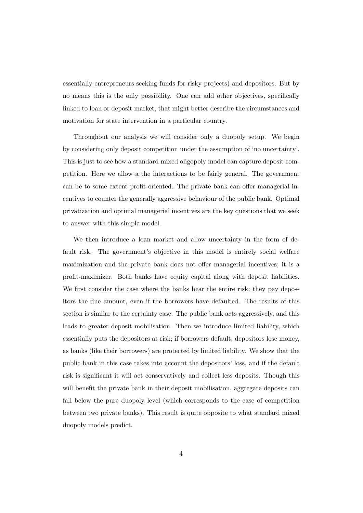essentially entrepreneurs seeking funds for risky projects) and depositors. But by no means this is the only possibility. One can add other objectives, specifically linked to loan or deposit market, that might better describe the circumstances and motivation for state intervention in a particular country.

Throughout our analysis we will consider only a duopoly setup. We begin by considering only deposit competition under the assumption of 'no uncertainty'. This is just to see how a standard mixed oligopoly model can capture deposit competition. Here we allow a the interactions to be fairly general. The government can be to some extent profit-oriented. The private bank can offer managerial incentives to counter the generally aggressive behaviour of the public bank. Optimal privatization and optimal managerial incentives are the key questions that we seek to answer with this simple model.

We then introduce a loan market and allow uncertainty in the form of default risk. The government's objective in this model is entirely social welfare maximization and the private bank does not offer managerial incentives; it is a profit-maximizer. Both banks have equity capital along with deposit liabilities. We first consider the case where the banks bear the entire risk; they pay depositors the due amount, even if the borrowers have defaulted. The results of this section is similar to the certainty case. The public bank acts aggressively, and this leads to greater deposit mobilisation. Then we introduce limited liability, which essentially puts the depositors at risk; if borrowers default, depositors lose money, as banks (like their borrowers) are protected by limited liability. We show that the public bank in this case takes into account the depositors' loss, and if the default risk is significant it will act conservatively and collect less deposits. Though this will benefit the private bank in their deposit mobilisation, aggregate deposits can fall below the pure duopoly level (which corresponds to the case of competition between two private banks). This result is quite opposite to what standard mixed duopoly models predict.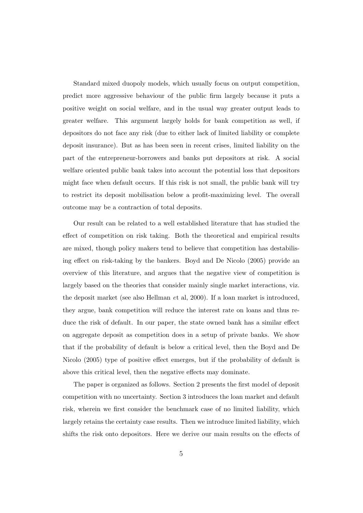Standard mixed duopoly models, which usually focus on output competition, predict more aggressive behaviour of the public firm largely because it puts a positive weight on social welfare, and in the usual way greater output leads to greater welfare. This argument largely holds for bank competition as well, if depositors do not face any risk (due to either lack of limited liability or complete deposit insurance). But as has been seen in recent crises, limited liability on the part of the entrepreneur-borrowers and banks put depositors at risk. A social welfare oriented public bank takes into account the potential loss that depositors might face when default occurs. If this risk is not small, the public bank will try to restrict its deposit mobilisation below a profit-maximizing level. The overall outcome may be a contraction of total deposits.

Our result can be related to a well established literature that has studied the effect of competition on risk taking. Both the theoretical and empirical results are mixed, though policy makers tend to believe that competition has destabilising effect on risk-taking by the bankers. Boyd and De Nicolo (2005) provide an overview of this literature, and argues that the negative view of competition is largely based on the theories that consider mainly single market interactions, viz. the deposit market (see also Hellman et al, 2000). If a loan market is introduced, they argue, bank competition will reduce the interest rate on loans and thus reduce the risk of default. In our paper, the state owned bank has a similar effect on aggregate deposit as competition does in a setup of private banks. We show that if the probability of default is below a critical level, then the Boyd and De Nicolo (2005) type of positive effect emerges, but if the probability of default is above this critical level, then the negative effects may dominate.

The paper is organized as follows. Section 2 presents the first model of deposit competition with no uncertainty. Section 3 introduces the loan market and default risk, wherein we first consider the benchmark case of no limited liability, which largely retains the certainty case results. Then we introduce limited liability, which shifts the risk onto depositors. Here we derive our main results on the effects of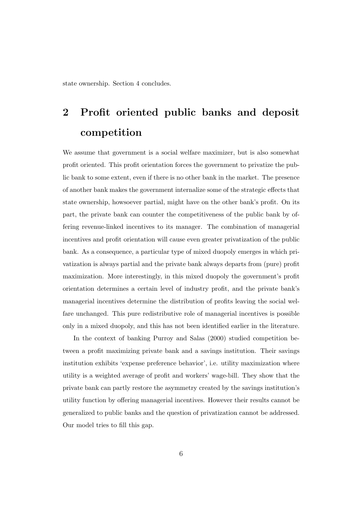state ownership. Section 4 concludes.

## 2 Profit oriented public banks and deposit competition

We assume that government is a social welfare maximizer, but is also somewhat profit oriented. This profit orientation forces the government to privatize the public bank to some extent, even if there is no other bank in the market. The presence of another bank makes the government internalize some of the strategic effects that state ownership, howsoever partial, might have on the other bank's profit. On its part, the private bank can counter the competitiveness of the public bank by offering revenue-linked incentives to its manager. The combination of managerial incentives and profit orientation will cause even greater privatization of the public bank. As a consequence, a particular type of mixed duopoly emerges in which privatization is always partial and the private bank always departs from (pure) profit maximization. More interestingly, in this mixed duopoly the government's profit orientation determines a certain level of industry profit, and the private bank's managerial incentives determine the distribution of profits leaving the social welfare unchanged. This pure redistributive role of managerial incentives is possible only in a mixed duopoly, and this has not been identified earlier in the literature.

In the context of banking Purroy and Salas (2000) studied competition between a profit maximizing private bank and a savings institution. Their savings institution exhibits 'expense preference behavior', i.e. utility maximization where utility is a weighted average of profit and workers' wage-bill. They show that the private bank can partly restore the asymmetry created by the savings institution's utility function by offering managerial incentives. However their results cannot be generalized to public banks and the question of privatization cannot be addressed. Our model tries to fill this gap.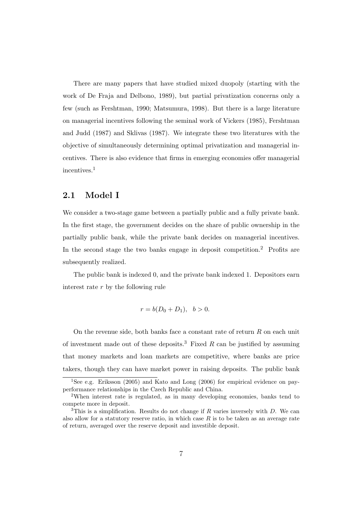There are many papers that have studied mixed duopoly (starting with the work of De Fraja and Delbono, 1989), but partial privatization concerns only a few (such as Fershtman, 1990; Matsumura, 1998). But there is a large literature on managerial incentives following the seminal work of Vickers (1985), Fershtman and Judd (1987) and Sklivas (1987). We integrate these two literatures with the objective of simultaneously determining optimal privatization and managerial incentives. There is also evidence that firms in emerging economies offer managerial incentives.<sup>1</sup>

#### 2.1 Model I

We consider a two-stage game between a partially public and a fully private bank. In the first stage, the government decides on the share of public ownership in the partially public bank, while the private bank decides on managerial incentives. In the second stage the two banks engage in deposit competition.<sup>2</sup> Profits are subsequently realized.

The public bank is indexed 0, and the private bank indexed 1. Depositors earn interest rate r by the following rule

$$
r = b(D_0 + D_1), \, b > 0.
$$

On the revenue side, both banks face a constant rate of return  $R$  on each unit of investment made out of these deposits.<sup>3</sup> Fixed  $R$  can be justified by assuming that money markets and loan markets are competitive, where banks are price takers, though they can have market power in raising deposits. The public bank

<sup>1</sup>See e.g. Eriksson (2005) and Kato and Long (2006) for empirical evidence on payperformance relationships in the Czech Republic and China.

<sup>2</sup>When interest rate is regulated, as in many developing economies, banks tend to compete more in deposit.

 $3$ This is a simplification. Results do not change if R varies inversely with D. We can also allow for a statutory reserve ratio, in which case  $R$  is to be taken as an average rate of return, averaged over the reserve deposit and investible deposit.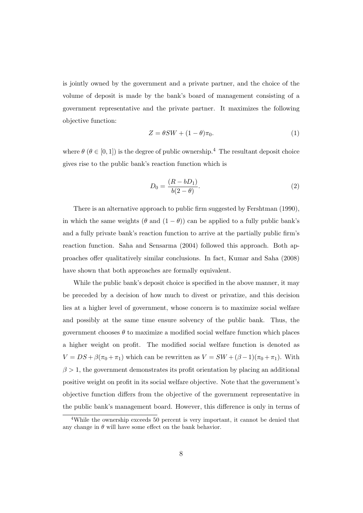is jointly owned by the government and a private partner, and the choice of the volume of deposit is made by the bank's board of management consisting of a government representative and the private partner. It maximizes the following objective function:

$$
Z = \theta SW + (1 - \theta)\pi_0.
$$
 (1)

where  $\theta$  ( $\theta \in [0, 1]$ ) is the degree of public ownership.<sup>4</sup> The resultant deposit choice gives rise to the public bank's reaction function which is

$$
D_0 = \frac{(R - bD_1)}{b(2 - \theta)}.
$$
 (2)

There is an alternative approach to public firm suggested by Fershtman (1990), in which the same weights ( $\theta$  and  $(1 - \theta)$ ) can be applied to a fully public bank's and a fully private bank's reaction function to arrive at the partially public firm's reaction function. Saha and Sensarma (2004) followed this approach. Both approaches offer qualitatively similar conclusions. In fact, Kumar and Saha (2008) have shown that both approaches are formally equivalent.

While the public bank's deposit choice is specified in the above manner, it may be preceded by a decision of how much to divest or privatize, and this decision lies at a higher level of government, whose concern is to maximize social welfare and possibly at the same time ensure solvency of the public bank. Thus, the government chooses  $\theta$  to maximize a modified social welfare function which places a higher weight on profit. The modified social welfare function is denoted as  $V = DS + \beta(\pi_0 + \pi_1)$  which can be rewritten as  $V = SW + (\beta - 1)(\pi_0 + \pi_1)$ . With  $\beta > 1$ , the government demonstrates its profit orientation by placing an additional positive weight on profit in its social welfare objective. Note that the government's objective function differs from the objective of the government representative in the public bank's management board. However, this difference is only in terms of

<sup>&</sup>lt;sup>4</sup>While the ownership exceeds 50 percent is very important, it cannot be denied that any change in  $\theta$  will have some effect on the bank behavior.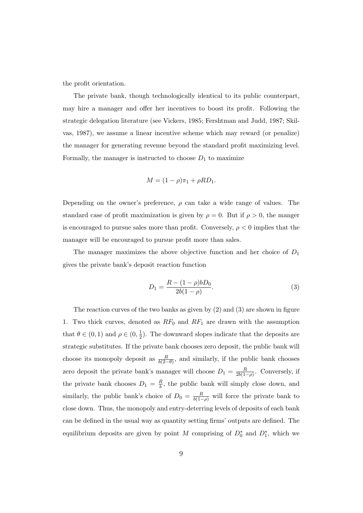the profit orientation.

The private bank, though technologically identical to its public counterpart, may hire a manager and offer her incentives to boost its profit. Following the strategic delegation literature (see Vickers, 1985; Fershtman and Judd, 1987; Skilvas, 1987), we assume a linear incentive scheme which may reward (or penalize) the manager for generating revenue beyond the standard profit maximizing level. Formally, the manager is instructed to choose  $D_1$  to maximize

$$
M = (1 - \rho)\pi_1 + \rho R D_1.
$$

Depending on the owner's preference,  $\rho$  can take a wide range of values. The standard case of profit maximization is given by  $\rho = 0$ . But if  $\rho > 0$ , the manger is encouraged to pursue sales more than profit. Conversely,  $\rho < 0$  implies that the manager will be encouraged to pursue profit more than sales.

The manager maximizes the above objective function and her choice of  $D_1$ gives the private bank's deposit reaction function

$$
D_1 = \frac{R - (1 - \rho)bD_0}{2b(1 - \rho)}.
$$
\n(3)

The reaction curves of the two banks as given by (2) and (3) are shown in figure 1. Two thick curves, denoted as  $RF_0$  and  $RF_1$  are drawn with the assumption that  $\theta \in (0,1)$  and  $\rho \in (0, \frac{1}{2})$  $\frac{1}{2}$ ). The downward slopes indicate that the deposits are strategic substitutes. If the private bank chooses zero deposit, the public bank will choose its monopoly deposit as  $\frac{R}{b(2-\theta)}$ , and similarly, if the public bank chooses zero deposit the private bank's manager will choose  $D_1 = \frac{R}{2b(1)}$  $\frac{R}{2b(1-\rho)}$ . Conversely, if the private bank chooses  $D_1 = \frac{R}{b}$  $\frac{R}{b}$ , the public bank will simply close down, and similarly, the public bank's choice of  $D_0 = \frac{R}{b(1-\rho)}$  will force the private bank to close down. Thus, the monopoly and entry-deterring levels of deposits of each bank can be defined in the usual way as quantity setting firms' outputs are defined. The equilibrium deposits are given by point M comprising of  $D_0^*$  and  $D_1^*$ , which we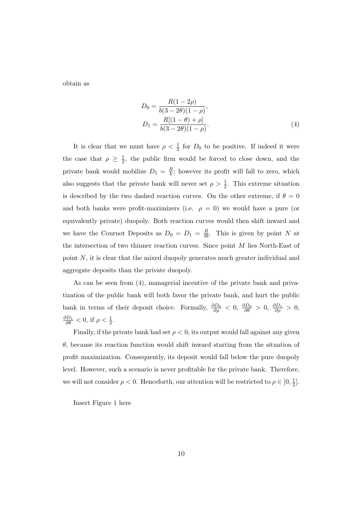obtain as

$$
D_0 = \frac{R(1 - 2\rho)}{b(3 - 2\theta)(1 - \rho)},
$$
  
\n
$$
D_1 = \frac{R[(1 - \theta) + \rho]}{b(3 - 2\theta)(1 - \rho)}.
$$
\n(4)

It is clear that we must have  $\rho < \frac{1}{2}$  for  $D_0$  to be positive. If indeed it were the case that  $\rho \geq \frac{1}{2}$  $\frac{1}{2}$ , the public firm would be forced to close down, and the private bank would mobilize  $D_1 = \frac{R}{b}$  $\frac{1}{b}$ ; however its profit will fall to zero, which also suggests that the private bank will never set  $\rho > \frac{1}{2}$ . This extreme situation is described by the two dashed reaction curves. On the other extreme, if  $\theta = 0$ and both banks were profit-maximizers (i.e.  $\rho = 0$ ) we would have a pure (or equivalently private) duopoly. Both reaction curves would then shift inward and we have the Cournot Deposits as  $D_0 = D_1 = \frac{R}{3l}$  $\frac{R}{3b}$ . This is given by point N at the intersection of two thinner reaction curves. Since point  $M$  lies North-East of point N, it is clear that the mixed duopoly generates much greater individual and aggregate deposits than the private duopoly.

As can be seen from (4), managerial incentive of the private bank and privatization of the public bank will both favor the private bank, and hurt the public bank in terms of their deposit choice. Formally,  $\frac{\partial D_0}{\partial \rho} < 0$ ,  $\frac{\partial D_0}{\partial \theta} > 0$ ,  $\frac{\partial D_1}{\partial \rho} > 0$ ,  $\frac{\partial D_1}{\partial \theta} < 0$ , if  $\rho < \frac{1}{2}$ .

Finally, if the private bank had set  $\rho < 0$ , its output would fall against any given  $\theta$ , because its reaction function would shift inward starting from the situation of profit maximization. Consequently, its deposit would fall below the pure duopoly level. However, such a scenario is never profitable for the private bank. Therefore, we will not consider  $\rho < 0$ . Henceforth, our attention will be restricted to  $\rho \in [0, \frac{1}{2}]$  $\frac{1}{2}$ .

Insert Figure 1 here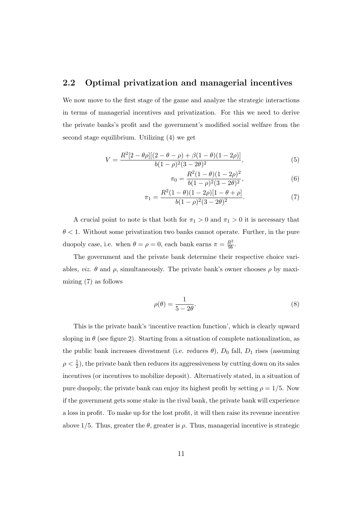#### 2.2 Optimal privatization and managerial incentives

We now move to the first stage of the game and analyze the strategic interactions in terms of managerial incentives and privatization. For this we need to derive the private banks's profit and the government's modified social welfare from the second stage equilibrium. Utilizing (4) we get

$$
V = \frac{R^2[2 - \theta \rho][(2 - \theta - \rho) + \beta(1 - \theta)(1 - 2\rho)]}{b(1 - \rho)^2(3 - 2\theta)^2},
$$
\n(5)

$$
\pi_0 = \frac{R^2(1-\theta)(1-2\rho)^2}{b(1-\rho)^2(3-2\theta)^2},\tag{6}
$$

$$
\pi_1 = \frac{R^2(1-\theta)(1-2\rho)[1-\theta+\rho]}{b(1-\rho)^2(3-2\theta)^2}.
$$
\n(7)

A crucial point to note is that both for  $\pi_1 > 0$  and  $\pi_1 > 0$  it is necessary that  $\theta$  < 1. Without some privatization two banks cannot operate. Further, in the pure duopoly case, i.e. when  $\theta = \rho = 0$ , each bank earns  $\pi = \frac{R^2}{9h}$  $rac{R^2}{9b}$ .

The government and the private bank determine their respective choice variables, *viz.*  $\theta$  and  $\rho$ , simultaneously. The private bank's owner chooses  $\rho$  by maximizing (7) as follows

$$
\rho(\theta) = \frac{1}{5 - 2\theta}.\tag{8}
$$

This is the private bank's 'incentive reaction function', which is clearly upward sloping in  $\theta$  (see figure 2). Starting from a situation of complete nationalization, as the public bank increases divestment (i.e. reduces  $\theta$ ),  $D_0$  fall,  $D_1$  rises (assuming  $\rho < \frac{1}{2}$ , the private bank then reduces its aggressiveness by cutting down on its sales incentives (or incentives to mobilize deposit). Alternatively stated, in a situation of pure duopoly, the private bank can enjoy its highest profit by setting  $\rho = 1/5$ . Now if the government gets some stake in the rival bank, the private bank will experience a loss in profit. To make up for the lost profit, it will then raise its revenue incentive above  $1/5$ . Thus, greater the  $\theta$ , greater is  $\rho$ . Thus, managerial incentive is strategic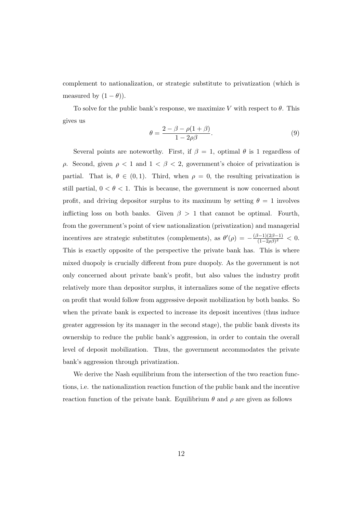complement to nationalization, or strategic substitute to privatization (which is measured by  $(1 - \theta)$ ).

To solve for the public bank's response, we maximize V with respect to  $\theta$ . This gives us

$$
\theta = \frac{2 - \beta - \rho(1 + \beta)}{1 - 2\rho\beta}.
$$
\n(9)

Several points are noteworthy. First, if  $\beta = 1$ , optimal  $\theta$  is 1 regardless of ρ. Second, given ρ < 1 and 1 < β < 2, government's choice of privatization is partial. That is,  $\theta \in (0,1)$ . Third, when  $\rho = 0$ , the resulting privatization is still partial,  $0 < \theta < 1$ . This is because, the government is now concerned about profit, and driving depositor surplus to its maximum by setting  $\theta = 1$  involves inflicting loss on both banks. Given  $\beta > 1$  that cannot be optimal. Fourth, from the government's point of view nationalization (privatization) and managerial incentives are strategic substitutes (complements), as  $\theta'(\rho) = -\frac{(\beta-1)(2\beta-1)}{(1-2\rho)\alpha^2}$  $\frac{(-1)(2\beta-1)}{(1-2\rho\beta)^2} < 0.$ This is exactly opposite of the perspective the private bank has. This is where mixed duopoly is crucially different from pure duopoly. As the government is not only concerned about private bank's profit, but also values the industry profit relatively more than depositor surplus, it internalizes some of the negative effects on profit that would follow from aggressive deposit mobilization by both banks. So when the private bank is expected to increase its deposit incentives (thus induce greater aggression by its manager in the second stage), the public bank divests its ownership to reduce the public bank's aggression, in order to contain the overall level of deposit mobilization. Thus, the government accommodates the private bank's aggression through privatization.

We derive the Nash equilibrium from the intersection of the two reaction functions, i.e. the nationalization reaction function of the public bank and the incentive reaction function of the private bank. Equilibrium  $\theta$  and  $\rho$  are given as follows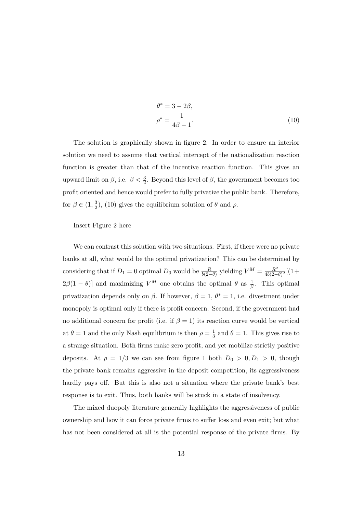$$
\theta^* = 3 - 2\beta,
$$
  
\n
$$
\rho^* = \frac{1}{4\beta - 1}.
$$
\n(10)

The solution is graphically shown in figure 2. In order to ensure an interior solution we need to assume that vertical intercept of the nationalization reaction function is greater than that of the incentive reaction function. This gives an upward limit on  $\beta$ , i.e.  $\beta < \frac{3}{2}$ . Beyond this level of  $\beta$ , the government becomes too profit oriented and hence would prefer to fully privatize the public bank. Therefore, for  $\beta \in (1, \frac{3}{2})$  $(\frac{3}{2})$ , (10) gives the equilibrium solution of  $\theta$  and  $\rho$ .

#### Insert Figure 2 here

We can contrast this solution with two situations. First, if there were no private banks at all, what would be the optimal privatization? This can be determined by considering that if  $D_1 = 0$  optimal  $D_0$  would be  $\frac{R}{b(2-\theta)}$  yielding  $V^M = \frac{R^2}{4b(2-\theta)}$  $\frac{R^2}{4b(2-\theta)^2}[(1+$  $2\beta(1-\theta)$  and maximizing  $V^M$  one obtains the optimal  $\theta$  as  $\frac{1}{\beta}$ . This optimal privatization depends only on  $\beta$ . If however,  $\beta = 1, \theta^* = 1$ , i.e. divestment under monopoly is optimal only if there is profit concern. Second, if the government had no additional concern for profit (i.e. if  $\beta = 1$ ) its reaction curve would be vertical at  $\theta = 1$  and the only Nash equilibrium is then  $\rho = \frac{1}{3}$  $\frac{1}{3}$  and  $\theta = 1$ . This gives rise to a strange situation. Both firms make zero profit, and yet mobilize strictly positive deposits. At  $\rho = 1/3$  we can see from figure 1 both  $D_0 > 0, D_1 > 0$ , though the private bank remains aggressive in the deposit competition, its aggressiveness hardly pays off. But this is also not a situation where the private bank's best response is to exit. Thus, both banks will be stuck in a state of insolvency.

The mixed duopoly literature generally highlights the aggressiveness of public ownership and how it can force private firms to suffer loss and even exit; but what has not been considered at all is the potential response of the private firms. By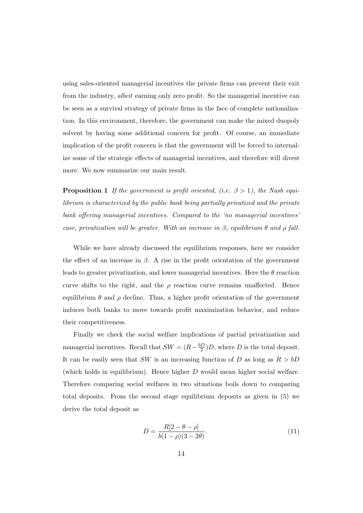using sales-oriented managerial incentives the private firms can prevent their exit from the industry, albeit earning only zero profit. So the managerial incentive can be seen as a survival strategy of private firms in the face of complete nationalization. In this environment, therefore, the government can make the mixed duopoly solvent by having some additional concern for profit. Of course, an immediate implication of the profit concern is that the government will be forced to internalize some of the strategic effects of managerial incentives, and therefore will divest more. We now summarize our main result.

**Proposition 1** If the government is profit oriented, (i.e.  $\beta > 1$ ), the Nash equilibrium is characterized by the public bank being partially privatized and the private bank offering managerial incentives. Compared to the 'no managerial incentives' case, privatization will be greater. With an increase in  $\beta$ , equilibrium  $\theta$  and  $\rho$  fall.

While we have already discussed the equilibrium responses, here we consider the effect of an increase in  $\beta$ . A rise in the profit orientation of the government leads to greater privatization, and lower managerial incentives. Here the  $\theta$  reaction curve shifts to the right, and the  $\rho$  reaction curve remains unaffected. Hence equilibrium  $\theta$  and  $\rho$  decline. Thus, a higher profit orientation of the government induces both banks to move towards profit maximization behavior, and reduce their competitiveness.

Finally we check the social welfare implications of partial privatization and managerial incentives. Recall that  $SW = (R - \frac{bD}{2})$  $\frac{2D}{2}$ )D, where D is the total deposit. It can be easily seen that SW is an increasing function of D as long as  $R > bD$ (which holds in equilibrium). Hence higher  $D$  would mean higher social welfare. Therefore comparing social welfares in two situations boils down to comparing total deposits. From the second stage equilibrium deposits as given in (5) we derive the total deposit as

$$
D = \frac{R[2 - \theta - \rho]}{b(1 - \rho)(3 - 2\theta)}.
$$
\n(11)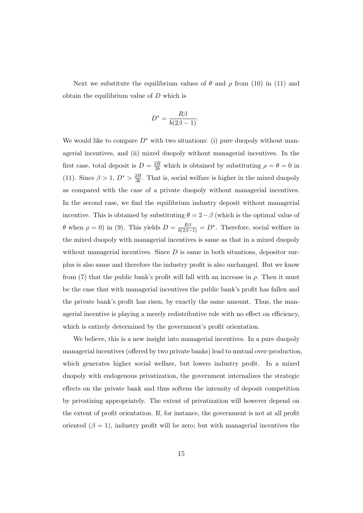Next we substitute the equilibrium values of  $\theta$  and  $\rho$  from (10) in (11) and obtain the equilibrium value of D which is

$$
D^* = \frac{R\beta}{b(2\beta - 1)}.
$$

We would like to compare  $D^*$  with two situations: (i) pure duopoly without managerial incentives, and (ii) mixed duopoly without managerial incentives. In the first case, total deposit is  $D = \frac{2R}{3b}$  which is obtained by substituting  $\rho = \theta = 0$  in (11). Since  $\beta > 1, D^* > \frac{2R}{3b}$  $\frac{2R}{3b}$ . That is, social welfare is higher in the mixed duopoly as compared with the case of a private duopoly without managerial incentives. In the second case, we find the equilibrium industry deposit without managerial incentive. This is obtained by substituting  $\theta = 2 - \beta$  (which is the optimal value of θ when  $ρ = 0$ ) in (9). This yields  $D = \frac{Rβ}{b(2β-1)} = D^*$ . Therefore, social welfare in the mixed duopoly with managerial incentives is same as that in a mixed duopoly without managerial incentives. Since  $D$  is same in both situations, depositor surplus is also same and therefore the industry profit is also unchanged. But we know from (7) that the public bank's profit will fall with an increase in  $\rho$ . Then it must be the case that with managerial incentives the public bank's profit has fallen and the private bank's profit has risen, by exactly the same amount. Thus, the managerial incentive is playing a merely redistributive role with no effect on efficiency, which is entirely determined by the government's profit orientation.

We believe, this is a new insight into managerial incentives. In a pure duopoly managerial incentives (offered by two private banks) lead to mutual over-production, which generates higher social welfare, but lowers industry profit. In a mixed duopoly with endogenous privatization, the government internalizes the strategic effects on the private bank and thus softens the intensity of deposit competition by privatizing appropriately. The extent of privatization will however depend on the extent of profit orientation. If, for instance, the government is not at all profit oriented  $(\beta = 1)$ , industry profit will be zero; but with managerial incentives the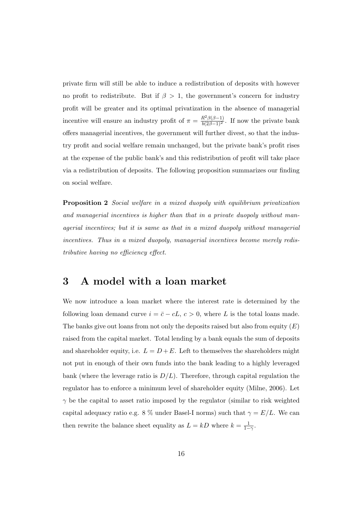private firm will still be able to induce a redistribution of deposits with however no profit to redistribute. But if  $\beta > 1$ , the government's concern for industry profit will be greater and its optimal privatization in the absence of managerial incentive will ensure an industry profit of  $\pi = \frac{R^2 \beta(\beta - 1)}{b(2\beta - 1)^2}$ . If now the private bank offers managerial incentives, the government will further divest, so that the industry profit and social welfare remain unchanged, but the private bank's profit rises at the expense of the public bank's and this redistribution of profit will take place via a redistribution of deposits. The following proposition summarizes our finding on social welfare.

**Proposition 2** Social welfare in a mixed duopoly with equilibrium privatization and managerial incentives is higher than that in a private duopoly without managerial incentives; but it is same as that in a mixed duopoly without managerial incentives. Thus in a mixed duopoly, managerial incentives become merely redistributive having no efficiency effect.

## 3 A model with a loan market

We now introduce a loan market where the interest rate is determined by the following loan demand curve  $i = \bar{c} - cL, c > 0$ , where L is the total loans made. The banks give out loans from not only the deposits raised but also from equity  $(E)$ raised from the capital market. Total lending by a bank equals the sum of deposits and shareholder equity, i.e.  $L = D + E$ . Left to themselves the shareholders might not put in enough of their own funds into the bank leading to a highly leveraged bank (where the leverage ratio is  $D/L$ ). Therefore, through capital regulation the regulator has to enforce a minimum level of shareholder equity (Milne, 2006). Let  $\gamma$  be the capital to asset ratio imposed by the regulator (similar to risk weighted capital adequacy ratio e.g. 8 % under Basel-I norms) such that  $\gamma = E/L$ . We can then rewrite the balance sheet equality as  $L = kD$  where  $k = \frac{1}{1-\gamma}$ .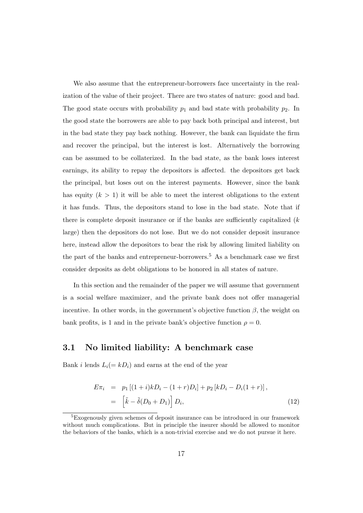We also assume that the entrepreneur-borrowers face uncertainty in the realization of the value of their project. There are two states of nature: good and bad. The good state occurs with probability  $p_1$  and bad state with probability  $p_2$ . In the good state the borrowers are able to pay back both principal and interest, but in the bad state they pay back nothing. However, the bank can liquidate the firm and recover the principal, but the interest is lost. Alternatively the borrowing can be assumed to be collaterized. In the bad state, as the bank loses interest earnings, its ability to repay the depositors is affected. the depositors get back the principal, but loses out on the interest payments. However, since the bank has equity  $(k > 1)$  it will be able to meet the interest obligations to the extent it has funds. Thus, the depositors stand to lose in the bad state. Note that if there is complete deposit insurance or if the banks are sufficiently capitalized  $(k)$ large) then the depositors do not lose. But we do not consider deposit insurance here, instead allow the depositors to bear the risk by allowing limited liability on the part of the banks and entrepreneur-borrowers.<sup>5</sup> As a benchmark case we first consider deposits as debt obligations to be honored in all states of nature.

In this section and the remainder of the paper we will assume that government is a social welfare maximizer, and the private bank does not offer managerial incentive. In other words, in the government's objective function  $\beta$ , the weight on bank profits, is 1 and in the private bank's objective function  $\rho = 0$ .

### 3.1 No limited liability: A benchmark case

Bank i lends  $L_i(= kD_i)$  and earns at the end of the year

$$
E\pi_i = p_1 [(1+i)kD_i - (1+r)D_i] + p_2 [kD_i - D_i(1+r)],
$$
  
=  $\left[ \tilde{k} - \tilde{\delta}(D_0 + D_1) \right] D_i,$  (12)

<sup>5</sup>Exogenously given schemes of deposit insurance can be introduced in our framework without much complications. But in principle the insurer should be allowed to monitor the behaviors of the banks, which is a non-trivial exercise and we do not pursue it here.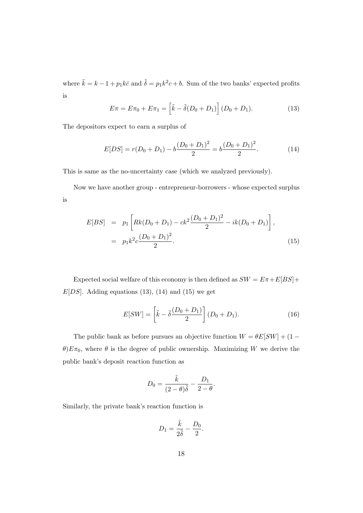where  $\tilde{k} = k - 1 + p_1 k \bar{c}$  and  $\tilde{\delta} = p_1 k^2 c + b$ . Sum of the two banks' expected profits is

$$
E\pi = E\pi_0 + E\pi_1 = \left[\tilde{k} - \tilde{\delta}(D_0 + D_1)\right](D_0 + D_1).
$$
 (13)

The depositors expect to earn a surplus of

$$
E[DS] = r(D_0 + D_1) - b\frac{(D_0 + D_1)^2}{2} = b\frac{(D_0 + D_1)^2}{2}.
$$
 (14)

This is same as the no-uncertainty case (which we analyzed previously).

Now we have another group - entrepreneur-borrowers - whose expected surplus is

$$
E[BS] = p_1 \left[ Rk(D_0 + D_1) - ck^2 \frac{(D_0 + D_1)^2}{2} - ik(D_0 + D_1) \right],
$$
  
=  $p_1 k^2 c \frac{(D_0 + D_1)^2}{2}.$  (15)

Expected social welfare of this economy is then defined as  $SW = E\pi + E[BS] +$  $E[DS]$ . Adding equations (13), (14) and (15) we get

$$
E[SW] = \left[\tilde{k} - \tilde{\delta}\frac{(D_0 + D_1)}{2}\right](D_0 + D_1).
$$
 (16)

The public bank as before pursues an objective function  $W = \theta E[SW] + (1 \theta$ ) $E\pi_0$ , where  $\theta$  is the degree of public ownership. Maximizing W we derive the public bank's deposit reaction function as

$$
D_0 = \frac{\tilde{k}}{(2-\theta)\tilde{\delta}} - \frac{D_1}{2-\theta}.
$$

Similarly, the private bank's reaction function is

$$
D_1 = \frac{\tilde{k}}{2\tilde{\delta}} - \frac{D_0}{2}.
$$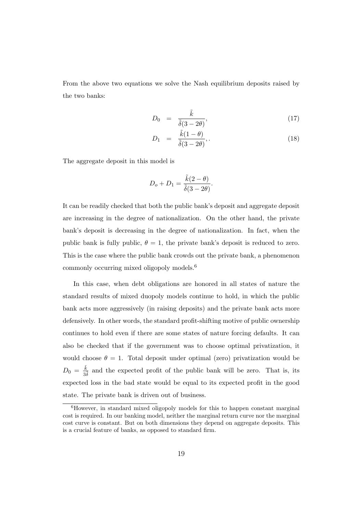From the above two equations we solve the Nash equilibrium deposits raised by the two banks:

$$
D_0 = \frac{\tilde{k}}{\tilde{\delta}(3 - 2\theta)},\tag{17}
$$

$$
D_1 = \frac{\tilde{k}(1-\theta)}{\tilde{\delta}(3-2\theta)},\qquad(18)
$$

The aggregate deposit in this model is

$$
D_o + D_1 = \frac{\tilde{k}(2 - \theta)}{\tilde{\delta}(3 - 2\theta)}.
$$

It can be readily checked that both the public bank's deposit and aggregate deposit are increasing in the degree of nationalization. On the other hand, the private bank's deposit is decreasing in the degree of nationalization. In fact, when the public bank is fully public,  $\theta = 1$ , the private bank's deposit is reduced to zero. This is the case where the public bank crowds out the private bank, a phenomenon commonly occurring mixed oligopoly models.<sup>6</sup>

In this case, when debt obligations are honored in all states of nature the standard results of mixed duopoly models continue to hold, in which the public bank acts more aggressively (in raising deposits) and the private bank acts more defensively. In other words, the standard profit-shifting motive of public ownership continues to hold even if there are some states of nature forcing defaults. It can also be checked that if the government was to choose optimal privatization, it would choose  $\theta = 1$ . Total deposit under optimal (zero) privatization would be  $D_0 = \frac{\tilde{k}}{2}$  $\frac{k}{3\delta}$  and the expected profit of the public bank will be zero. That is, its expected loss in the bad state would be equal to its expected profit in the good state. The private bank is driven out of business.

<sup>6</sup>However, in standard mixed oligopoly models for this to happen constant marginal cost is required. In our banking model, neither the marginal return curve nor the marginal cost curve is constant. But on both dimensions they depend on aggregate deposits. This is a crucial feature of banks, as opposed to standard firm.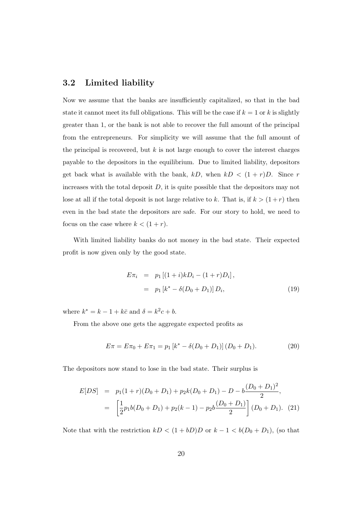### 3.2 Limited liability

Now we assume that the banks are insufficiently capitalized, so that in the bad state it cannot meet its full obligations. This will be the case if  $k = 1$  or k is slightly greater than 1, or the bank is not able to recover the full amount of the principal from the entrepreneurs. For simplicity we will assume that the full amount of the principal is recovered, but  $k$  is not large enough to cover the interest charges payable to the depositors in the equilibrium. Due to limited liability, depositors get back what is available with the bank,  $kD$ , when  $kD < (1+r)D$ . Since r increases with the total deposit  $D$ , it is quite possible that the depositors may not lose at all if the total deposit is not large relative to k. That is, if  $k > (1+r)$  then even in the bad state the depositors are safe. For our story to hold, we need to focus on the case where  $k < (1+r)$ .

With limited liability banks do not money in the bad state. Their expected profit is now given only by the good state.

$$
E\pi_i = p_1 [(1+i)kD_i - (1+r)D_i],
$$
  
=  $p_1 [k^* - \delta(D_0 + D_1)] D_i,$  (19)

where  $k^* = k - 1 + k\bar{c}$  and  $\delta = k^2c + b$ .

From the above one gets the aggregate expected profits as

$$
E\pi = E\pi_0 + E\pi_1 = p_1 [k^* - \delta(D_0 + D_1)] (D_0 + D_1).
$$
 (20)

The depositors now stand to lose in the bad state. Their surplus is

$$
E[DS] = p_1(1+r)(D_0 + D_1) + p_2k(D_0 + D_1) - D - b\frac{(D_0 + D_1)^2}{2},
$$
  
= 
$$
\left[\frac{1}{2}p_1b(D_0 + D_1) + p_2(k-1) - p_2b\frac{(D_0 + D_1)}{2}\right](D_0 + D_1).
$$
 (21)

Note that with the restriction  $kD < (1 + bD)D$  or  $k - 1 < b(D_0 + D_1)$ , (so that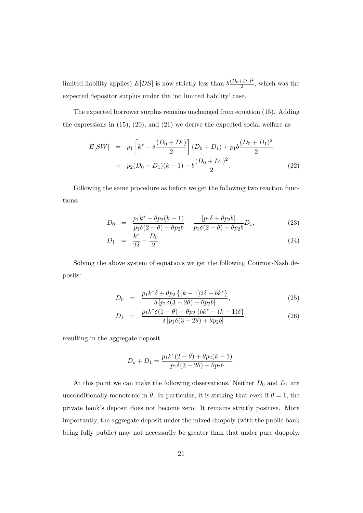limited liability applies)  $E[DS]$  is now strictly less than  $b \frac{(D_0+D_1)^2}{2}$  $\frac{+D_1}{2}$ , which was the expected depositor surplus under the 'no limited liability' case.

The expected borrower surplus remains unchanged from equation (15). Adding the expressions in  $(15)$ ,  $(20)$ , and  $(21)$  we derive the expected social welfare as

$$
E[SW] = p_1 \left[ k^* - \delta \frac{(D_0 + D_1)}{2} \right] (D_0 + D_1) + p_1 b \frac{(D_0 + D_1)^2}{2}
$$
  
+  $p_2 (D_0 + D_1)(k - 1) - b \frac{(D_0 + D_1)^2}{2}$ . (22)

Following the same procedure as before we get the following two reaction functions:

$$
D_0 = \frac{p_1 k^* + \theta p_2 (k-1)}{p_1 \delta (2-\theta) + \theta p_2 b} - \frac{[p_1 \delta + \theta p_2 b]}{p_1 \delta (2-\theta) + \theta p_2 b} D_1,
$$
\n(23)

$$
D_1 = \frac{k^*}{2\delta} - \frac{D_0}{2}.\tag{24}
$$

Solving the above system of equations we get the following Cournot-Nash deposits:

$$
D_0 = \frac{p_1 k^* \delta + \theta p_2 \{ (k-1)2\delta - bk^* \}}{\delta \left[ p_1 \delta (3 - 2\theta) + \theta p_2 b \right]},
$$
\n(25)

$$
D_1 = \frac{p_1 k^* \delta(1 - \theta) + \theta p_2 \{bk^* - (k - 1)\delta\}}{\delta [p_1 \delta(3 - 2\theta) + \theta p_2 b]},
$$
\n(26)

resulting in the aggregate deposit

$$
D_o + D_1 = \frac{p_1 k^*(2 - \theta) + \theta p_2(k - 1)}{p_1 \delta(3 - 2\theta) + \theta p_2 b}.
$$

At this point we can make the following observations. Neither  $D_0$  and  $D_1$  are unconditionally monotonic in  $\theta$ . In particular, it is striking that even if  $\theta = 1$ , the private bank's deposit does not become zero. It remains strictly positive. More importantly, the aggregate deposit under the mixed duopoly (with the public bank being fully public) may not necessarily be greater than that under pure duopoly.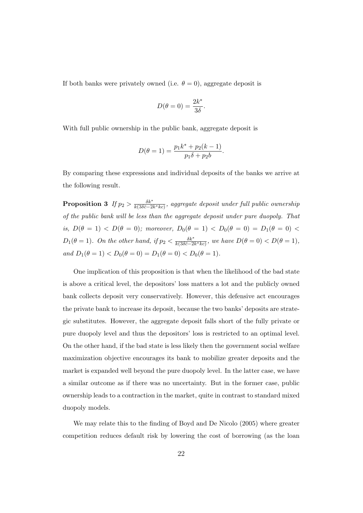If both banks were privately owned (i.e.  $\theta = 0$ ), aggregate deposit is

$$
D(\theta = 0) = \frac{2k^*}{3\delta}.
$$

With full public ownership in the public bank, aggregate deposit is

$$
D(\theta = 1) = \frac{p_1 k^* + p_2(k - 1)}{p_1 \delta + p_2 b}.
$$

By comparing these expressions and individual deposits of the banks we arrive at the following result.

Proposition 3 If  $p_2 > \frac{\delta k^*}{k(3\delta \bar{c}-2)}$  $\frac{\delta k^{\tau}}{k(3\delta \bar{c}-2k^*kc)},$  aggregate deposit under full public ownership of the public bank will be less than the aggregate deposit under pure duopoly. That is,  $D(\theta = 1)$  <  $D(\theta = 0)$ ; moreover,  $D_0(\theta = 1)$  <  $D_0(\theta = 0) = D_1(\theta = 0)$  <  $D_1(\theta=1)$ . On the other hand, if  $p_2 < \frac{\delta k^*}{k(3\delta\bar{c}-2)}$  $\frac{\delta k^*}{k(3\delta \bar{c}-2k^*kc)},$  we have  $D(\theta=0) < D(\theta=1),$ and  $D_1(\theta = 1) < D_0(\theta = 0) = D_1(\theta = 0) < D_0(\theta = 1)$ .

One implication of this proposition is that when the likelihood of the bad state is above a critical level, the depositors' loss matters a lot and the publicly owned bank collects deposit very conservatively. However, this defensive act encourages the private bank to increase its deposit, because the two banks' deposits are strategic substitutes. However, the aggregate deposit falls short of the fully private or pure duopoly level and thus the depositors' loss is restricted to an optimal level. On the other hand, if the bad state is less likely then the government social welfare maximization objective encourages its bank to mobilize greater deposits and the market is expanded well beyond the pure duopoly level. In the latter case, we have a similar outcome as if there was no uncertainty. But in the former case, public ownership leads to a contraction in the market, quite in contrast to standard mixed duopoly models.

We may relate this to the finding of Boyd and De Nicolo (2005) where greater competition reduces default risk by lowering the cost of borrowing (as the loan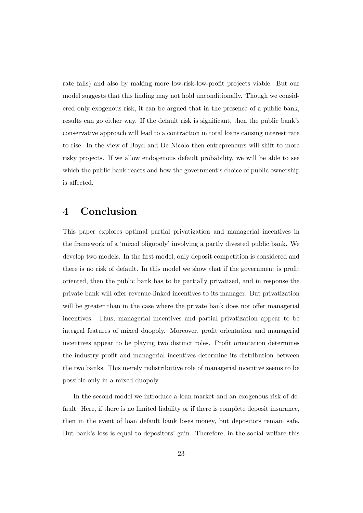rate falls) and also by making more low-risk-low-profit projects viable. But our model suggests that this finding may not hold unconditionally. Though we considered only exogenous risk, it can be argued that in the presence of a public bank, results can go either way. If the default risk is significant, then the public bank's conservative approach will lead to a contraction in total loans causing interest rate to rise. In the view of Boyd and De Nicolo then entrepreneurs will shift to more risky projects. If we allow endogenous default probability, we will be able to see which the public bank reacts and how the government's choice of public ownership is affected.

## 4 Conclusion

This paper explores optimal partial privatization and managerial incentives in the framework of a 'mixed oligopoly' involving a partly divested public bank. We develop two models. In the first model, only deposit competition is considered and there is no risk of default. In this model we show that if the government is profit oriented, then the public bank has to be partially privatized, and in response the private bank will offer revenue-linked incentives to its manager. But privatization will be greater than in the case where the private bank does not offer managerial incentives. Thus, managerial incentives and partial privatization appear to be integral features of mixed duopoly. Moreover, profit orientation and managerial incentives appear to be playing two distinct roles. Profit orientation determines the industry profit and managerial incentives determine its distribution between the two banks. This merely redistributive role of managerial incentive seems to be possible only in a mixed duopoly.

In the second model we introduce a loan market and an exogenous risk of default. Here, if there is no limited liability or if there is complete deposit insurance, then in the event of loan default bank loses money, but depositors remain safe. But bank's loss is equal to depositors' gain. Therefore, in the social welfare this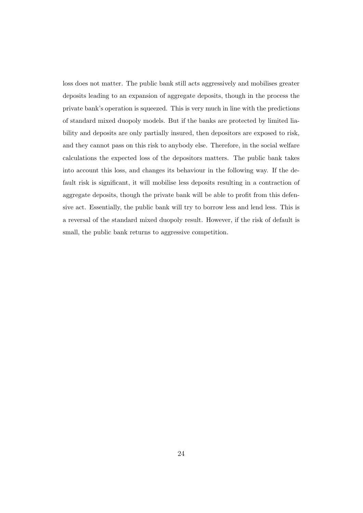loss does not matter. The public bank still acts aggressively and mobilises greater deposits leading to an expansion of aggregate deposits, though in the process the private bank's operation is squeezed. This is very much in line with the predictions of standard mixed duopoly models. But if the banks are protected by limited liability and deposits are only partially insured, then depositors are exposed to risk, and they cannot pass on this risk to anybody else. Therefore, in the social welfare calculations the expected loss of the depositors matters. The public bank takes into account this loss, and changes its behaviour in the following way. If the default risk is significant, it will mobilise less deposits resulting in a contraction of aggregate deposits, though the private bank will be able to profit from this defensive act. Essentially, the public bank will try to borrow less and lend less. This is a reversal of the standard mixed duopoly result. However, if the risk of default is small, the public bank returns to aggressive competition.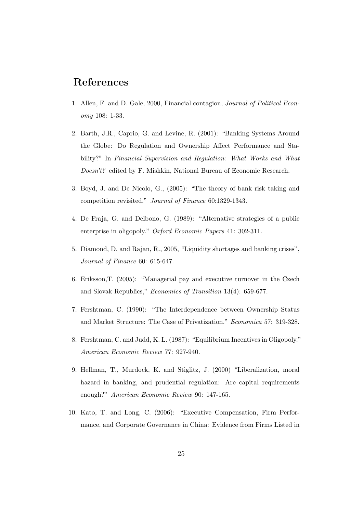## References

- 1. Allen, F. and D. Gale, 2000, Financial contagion, Journal of Political Economy 108: 1-33.
- 2. Barth, J.R., Caprio, G. and Levine, R. (2001): "Banking Systems Around the Globe: Do Regulation and Ownership Affect Performance and Stability?" In Financial Supervision and Regulation: What Works and What Doesn't? edited by F. Mishkin, National Bureau of Economic Research.
- 3. Boyd, J. and De Nicolo, G., (2005): "The theory of bank risk taking and competition revisited." Journal of Finance 60:1329-1343.
- 4. De Fraja, G. and Delbono, G. (1989): "Alternative strategies of a public enterprise in oligopoly." Oxford Economic Papers 41: 302-311.
- 5. Diamond, D. and Rajan, R., 2005, "Liquidity shortages and banking crises", Journal of Finance 60: 615-647.
- 6. Eriksson,T. (2005): "Managerial pay and executive turnover in the Czech and Slovak Republics," Economics of Transition 13(4): 659-677.
- 7. Fershtman, C. (1990): "The Interdependence between Ownership Status and Market Structure: The Case of Privatization." Economica 57: 319-328.
- 8. Fershtman, C. and Judd, K. L. (1987): "Equilibrium Incentives in Oligopoly." American Economic Review 77: 927-940.
- 9. Hellman, T., Murdock, K. and Stiglitz, J. (2000) "Liberalization, moral hazard in banking, and prudential regulation: Are capital requirements enough?" American Economic Review 90: 147-165.
- 10. Kato, T. and Long, C. (2006): "Executive Compensation, Firm Performance, and Corporate Governance in China: Evidence from Firms Listed in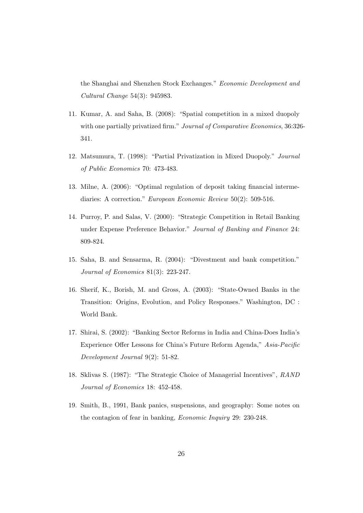the Shanghai and Shenzhen Stock Exchanges." Economic Development and Cultural Change 54(3): 945983.

- 11. Kumar, A. and Saha, B. (2008): "Spatial competition in a mixed duopoly with one partially privatized firm." Journal of Comparative Economics, 36:326-341.
- 12. Matsumura, T. (1998): "Partial Privatization in Mixed Duopoly." Journal of Public Economics 70: 473-483.
- 13. Milne, A. (2006): "Optimal regulation of deposit taking financial intermediaries: A correction." European Economic Review 50(2): 509-516.
- 14. Purroy, P. and Salas, V. (2000): "Strategic Competition in Retail Banking under Expense Preference Behavior." Journal of Banking and Finance 24: 809-824.
- 15. Saha, B. and Sensarma, R. (2004): "Divestment and bank competition." Journal of Economics 81(3): 223-247.
- 16. Sherif, K., Borish, M. and Gross, A. (2003): "State-Owned Banks in the Transition: Origins, Evolution, and Policy Responses." Washington, DC : World Bank.
- 17. Shirai, S. (2002): "Banking Sector Reforms in India and China-Does India's Experience Offer Lessons for China's Future Reform Agenda," Asia-Pacific Development Journal 9(2): 51-82.
- 18. Sklivas S. (1987): "The Strategic Choice of Managerial Incentives", RAND Journal of Economics 18: 452-458.
- 19. Smith, B., 1991, Bank panics, suspensions, and geography: Some notes on the contagion of fear in banking, Economic Inquiry 29: 230-248.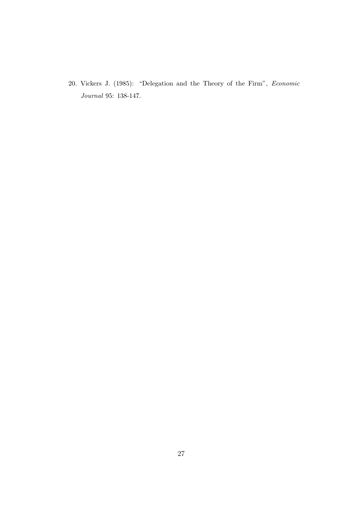20. Vickers J. (1985): "Delegation and the Theory of the Firm", Economic Journal 95: 138-147.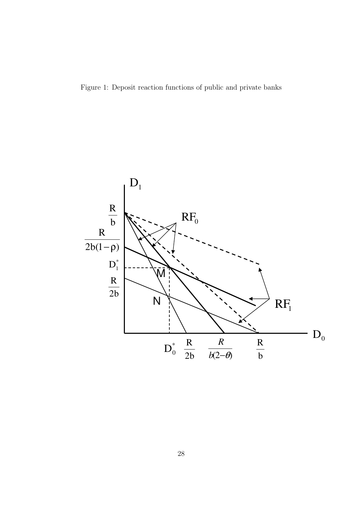Figure 1: Deposit reaction functions of public and private banks